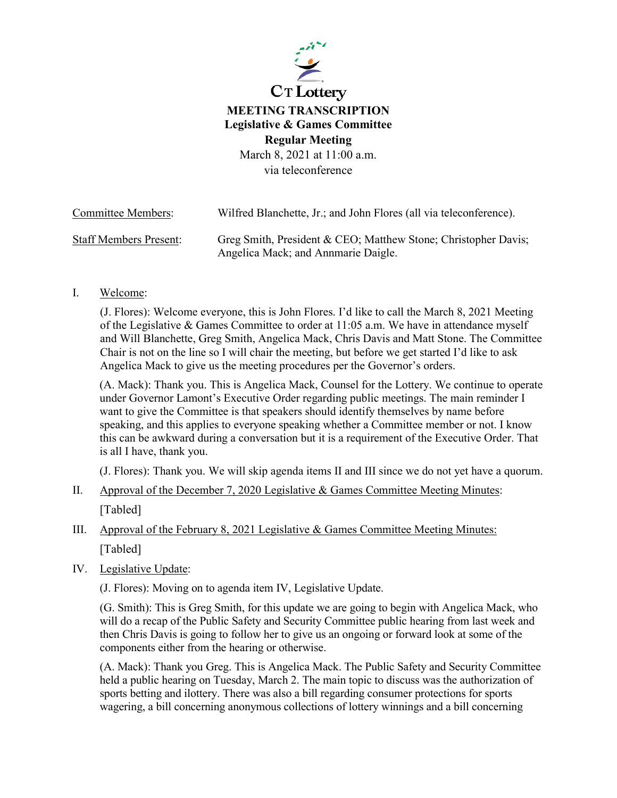

## **CT** Lottery **MEETING TRANSCRIPTION Legislative & Games Committee Regular Meeting** March 8, 2021 at 11:00 a.m.

via teleconference

| <b>Committee Members:</b>     | Wilfred Blanchette, Jr.; and John Flores (all via teleconference).                                    |
|-------------------------------|-------------------------------------------------------------------------------------------------------|
| <b>Staff Members Present:</b> | Greg Smith, President & CEO; Matthew Stone; Christopher Davis;<br>Angelica Mack; and Annmarie Daigle. |

## I. Welcome:

(J. Flores): Welcome everyone, this is John Flores. I'd like to call the March 8, 2021 Meeting of the Legislative & Games Committee to order at 11:05 a.m. We have in attendance myself and Will Blanchette, Greg Smith, Angelica Mack, Chris Davis and Matt Stone. The Committee Chair is not on the line so I will chair the meeting, but before we get started I'd like to ask Angelica Mack to give us the meeting procedures per the Governor's orders.

(A. Mack): Thank you. This is Angelica Mack, Counsel for the Lottery. We continue to operate under Governor Lamont's Executive Order regarding public meetings. The main reminder I want to give the Committee is that speakers should identify themselves by name before speaking, and this applies to everyone speaking whether a Committee member or not. I know this can be awkward during a conversation but it is a requirement of the Executive Order. That is all I have, thank you.

(J. Flores): Thank you. We will skip agenda items II and III since we do not yet have a quorum.

- II. Approval of the December 7, 2020 Legislative & Games Committee Meeting Minutes: [Tabled]
- III. Approval of the February 8, 2021 Legislative & Games Committee Meeting Minutes: [Tabled]
- IV. Legislative Update:

(J. Flores): Moving on to agenda item IV, Legislative Update.

(G. Smith): This is Greg Smith, for this update we are going to begin with Angelica Mack, who will do a recap of the Public Safety and Security Committee public hearing from last week and then Chris Davis is going to follow her to give us an ongoing or forward look at some of the components either from the hearing or otherwise.

(A. Mack): Thank you Greg. This is Angelica Mack. The Public Safety and Security Committee held a public hearing on Tuesday, March 2. The main topic to discuss was the authorization of sports betting and ilottery. There was also a bill regarding consumer protections for sports wagering, a bill concerning anonymous collections of lottery winnings and a bill concerning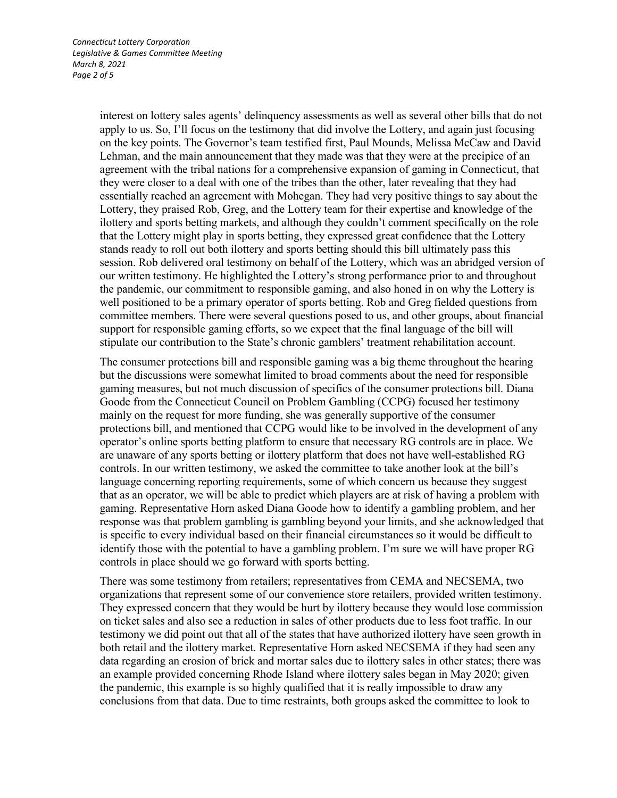interest on lottery sales agents' delinquency assessments as well as several other bills that do not apply to us. So, I'll focus on the testimony that did involve the Lottery, and again just focusing on the key points. The Governor's team testified first, Paul Mounds, Melissa McCaw and David Lehman, and the main announcement that they made was that they were at the precipice of an agreement with the tribal nations for a comprehensive expansion of gaming in Connecticut, that they were closer to a deal with one of the tribes than the other, later revealing that they had essentially reached an agreement with Mohegan. They had very positive things to say about the Lottery, they praised Rob, Greg, and the Lottery team for their expertise and knowledge of the ilottery and sports betting markets, and although they couldn't comment specifically on the role that the Lottery might play in sports betting, they expressed great confidence that the Lottery stands ready to roll out both ilottery and sports betting should this bill ultimately pass this session. Rob delivered oral testimony on behalf of the Lottery, which was an abridged version of our written testimony. He highlighted the Lottery's strong performance prior to and throughout the pandemic, our commitment to responsible gaming, and also honed in on why the Lottery is well positioned to be a primary operator of sports betting. Rob and Greg fielded questions from committee members. There were several questions posed to us, and other groups, about financial support for responsible gaming efforts, so we expect that the final language of the bill will stipulate our contribution to the State's chronic gamblers' treatment rehabilitation account.

The consumer protections bill and responsible gaming was a big theme throughout the hearing but the discussions were somewhat limited to broad comments about the need for responsible gaming measures, but not much discussion of specifics of the consumer protections bill. Diana Goode from the Connecticut Council on Problem Gambling (CCPG) focused her testimony mainly on the request for more funding, she was generally supportive of the consumer protections bill, and mentioned that CCPG would like to be involved in the development of any operator's online sports betting platform to ensure that necessary RG controls are in place. We are unaware of any sports betting or ilottery platform that does not have well-established RG controls. In our written testimony, we asked the committee to take another look at the bill's language concerning reporting requirements, some of which concern us because they suggest that as an operator, we will be able to predict which players are at risk of having a problem with gaming. Representative Horn asked Diana Goode how to identify a gambling problem, and her response was that problem gambling is gambling beyond your limits, and she acknowledged that is specific to every individual based on their financial circumstances so it would be difficult to identify those with the potential to have a gambling problem. I'm sure we will have proper RG controls in place should we go forward with sports betting.

There was some testimony from retailers; representatives from CEMA and NECSEMA, two organizations that represent some of our convenience store retailers, provided written testimony. They expressed concern that they would be hurt by ilottery because they would lose commission on ticket sales and also see a reduction in sales of other products due to less foot traffic. In our testimony we did point out that all of the states that have authorized ilottery have seen growth in both retail and the ilottery market. Representative Horn asked NECSEMA if they had seen any data regarding an erosion of brick and mortar sales due to ilottery sales in other states; there was an example provided concerning Rhode Island where ilottery sales began in May 2020; given the pandemic, this example is so highly qualified that it is really impossible to draw any conclusions from that data. Due to time restraints, both groups asked the committee to look to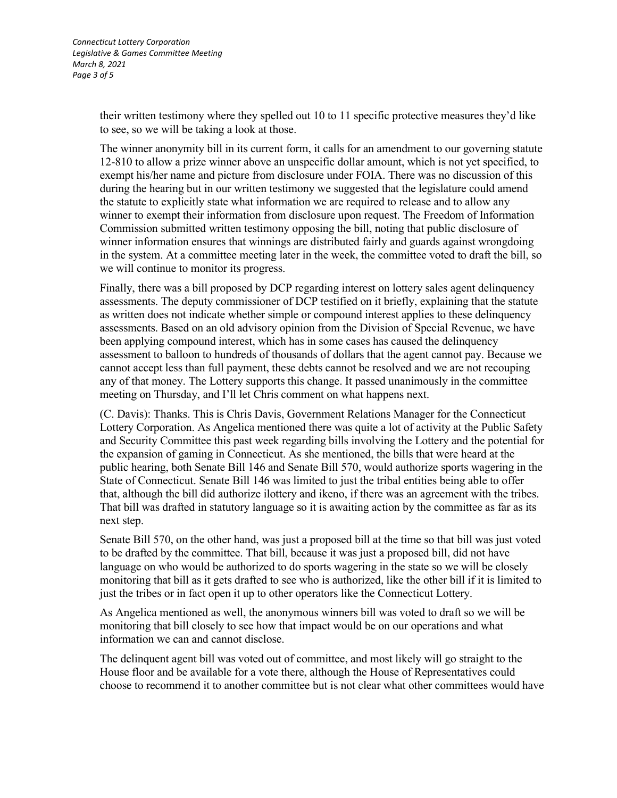their written testimony where they spelled out 10 to 11 specific protective measures they'd like to see, so we will be taking a look at those.

The winner anonymity bill in its current form, it calls for an amendment to our governing statute 12-810 to allow a prize winner above an unspecific dollar amount, which is not yet specified, to exempt his/her name and picture from disclosure under FOIA. There was no discussion of this during the hearing but in our written testimony we suggested that the legislature could amend the statute to explicitly state what information we are required to release and to allow any winner to exempt their information from disclosure upon request. The Freedom of Information Commission submitted written testimony opposing the bill, noting that public disclosure of winner information ensures that winnings are distributed fairly and guards against wrongdoing in the system. At a committee meeting later in the week, the committee voted to draft the bill, so we will continue to monitor its progress.

Finally, there was a bill proposed by DCP regarding interest on lottery sales agent delinquency assessments. The deputy commissioner of DCP testified on it briefly, explaining that the statute as written does not indicate whether simple or compound interest applies to these delinquency assessments. Based on an old advisory opinion from the Division of Special Revenue, we have been applying compound interest, which has in some cases has caused the delinquency assessment to balloon to hundreds of thousands of dollars that the agent cannot pay. Because we cannot accept less than full payment, these debts cannot be resolved and we are not recouping any of that money. The Lottery supports this change. It passed unanimously in the committee meeting on Thursday, and I'll let Chris comment on what happens next.

(C. Davis): Thanks. This is Chris Davis, Government Relations Manager for the Connecticut Lottery Corporation. As Angelica mentioned there was quite a lot of activity at the Public Safety and Security Committee this past week regarding bills involving the Lottery and the potential for the expansion of gaming in Connecticut. As she mentioned, the bills that were heard at the public hearing, both Senate Bill 146 and Senate Bill 570, would authorize sports wagering in the State of Connecticut. Senate Bill 146 was limited to just the tribal entities being able to offer that, although the bill did authorize ilottery and ikeno, if there was an agreement with the tribes. That bill was drafted in statutory language so it is awaiting action by the committee as far as its next step.

Senate Bill 570, on the other hand, was just a proposed bill at the time so that bill was just voted to be drafted by the committee. That bill, because it was just a proposed bill, did not have language on who would be authorized to do sports wagering in the state so we will be closely monitoring that bill as it gets drafted to see who is authorized, like the other bill if it is limited to just the tribes or in fact open it up to other operators like the Connecticut Lottery.

As Angelica mentioned as well, the anonymous winners bill was voted to draft so we will be monitoring that bill closely to see how that impact would be on our operations and what information we can and cannot disclose.

The delinquent agent bill was voted out of committee, and most likely will go straight to the House floor and be available for a vote there, although the House of Representatives could choose to recommend it to another committee but is not clear what other committees would have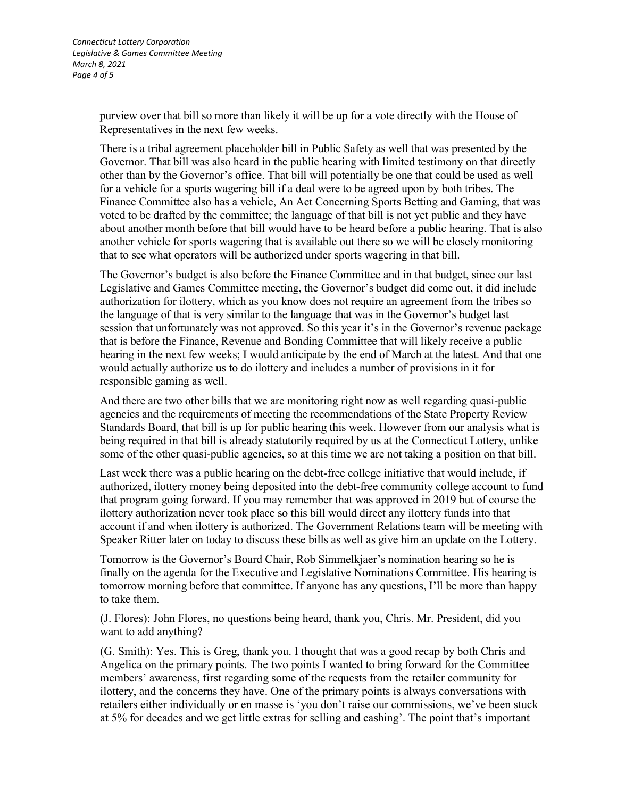purview over that bill so more than likely it will be up for a vote directly with the House of Representatives in the next few weeks.

There is a tribal agreement placeholder bill in Public Safety as well that was presented by the Governor. That bill was also heard in the public hearing with limited testimony on that directly other than by the Governor's office. That bill will potentially be one that could be used as well for a vehicle for a sports wagering bill if a deal were to be agreed upon by both tribes. The Finance Committee also has a vehicle, An Act Concerning Sports Betting and Gaming, that was voted to be drafted by the committee; the language of that bill is not yet public and they have about another month before that bill would have to be heard before a public hearing. That is also another vehicle for sports wagering that is available out there so we will be closely monitoring that to see what operators will be authorized under sports wagering in that bill.

The Governor's budget is also before the Finance Committee and in that budget, since our last Legislative and Games Committee meeting, the Governor's budget did come out, it did include authorization for ilottery, which as you know does not require an agreement from the tribes so the language of that is very similar to the language that was in the Governor's budget last session that unfortunately was not approved. So this year it's in the Governor's revenue package that is before the Finance, Revenue and Bonding Committee that will likely receive a public hearing in the next few weeks; I would anticipate by the end of March at the latest. And that one would actually authorize us to do ilottery and includes a number of provisions in it for responsible gaming as well.

And there are two other bills that we are monitoring right now as well regarding quasi-public agencies and the requirements of meeting the recommendations of the State Property Review Standards Board, that bill is up for public hearing this week. However from our analysis what is being required in that bill is already statutorily required by us at the Connecticut Lottery, unlike some of the other quasi-public agencies, so at this time we are not taking a position on that bill.

Last week there was a public hearing on the debt-free college initiative that would include, if authorized, ilottery money being deposited into the debt-free community college account to fund that program going forward. If you may remember that was approved in 2019 but of course the ilottery authorization never took place so this bill would direct any ilottery funds into that account if and when ilottery is authorized. The Government Relations team will be meeting with Speaker Ritter later on today to discuss these bills as well as give him an update on the Lottery.

Tomorrow is the Governor's Board Chair, Rob Simmelkjaer's nomination hearing so he is finally on the agenda for the Executive and Legislative Nominations Committee. His hearing is tomorrow morning before that committee. If anyone has any questions, I'll be more than happy to take them.

(J. Flores): John Flores, no questions being heard, thank you, Chris. Mr. President, did you want to add anything?

(G. Smith): Yes. This is Greg, thank you. I thought that was a good recap by both Chris and Angelica on the primary points. The two points I wanted to bring forward for the Committee members' awareness, first regarding some of the requests from the retailer community for ilottery, and the concerns they have. One of the primary points is always conversations with retailers either individually or en masse is 'you don't raise our commissions, we've been stuck at 5% for decades and we get little extras for selling and cashing'. The point that's important